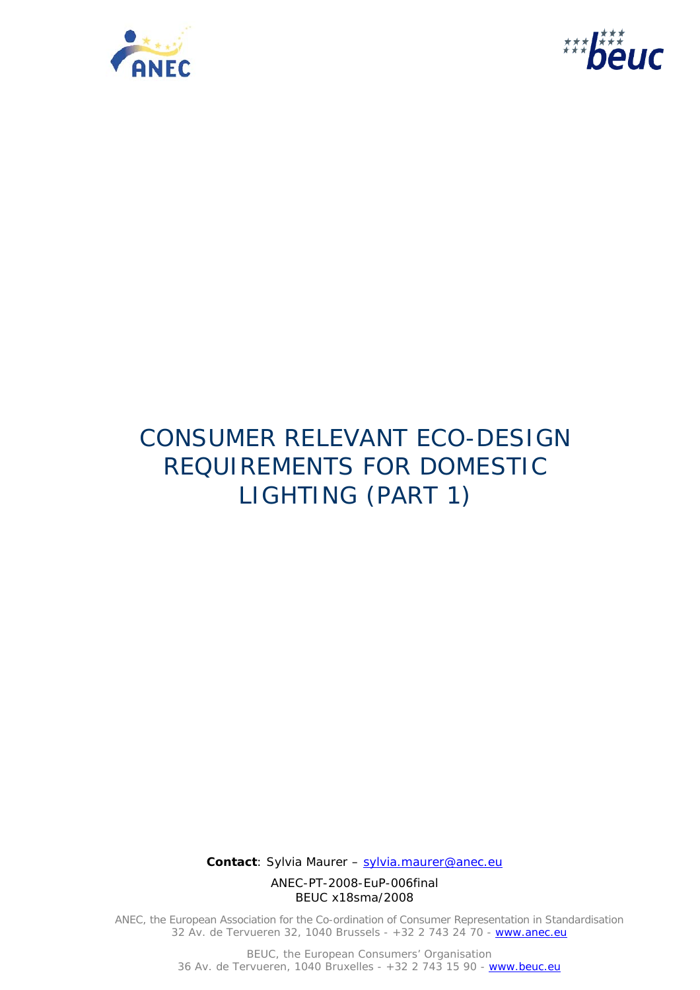



# CONSUMER RELEVANT ECO-DESIGN REQUIREMENTS FOR DOMESTIC LIGHTING (PART 1)

 **Contact**: Sylvia Maurer – sylvia.maurer@anec.eu

ANEC-PT-2008-EuP-006final BEUC x18sma/2008

ANEC, the European Association for the Co-ordination of Consumer Representation in Standardisation 32 Av. de Tervueren 32, 1040 Brussels - +32 2 743 24 70 - www.anec.eu

> BEUC, the European Consumers' Organisation 36 Av. de Tervueren, 1040 Bruxelles - +32 2 743 15 90 - www.beuc.eu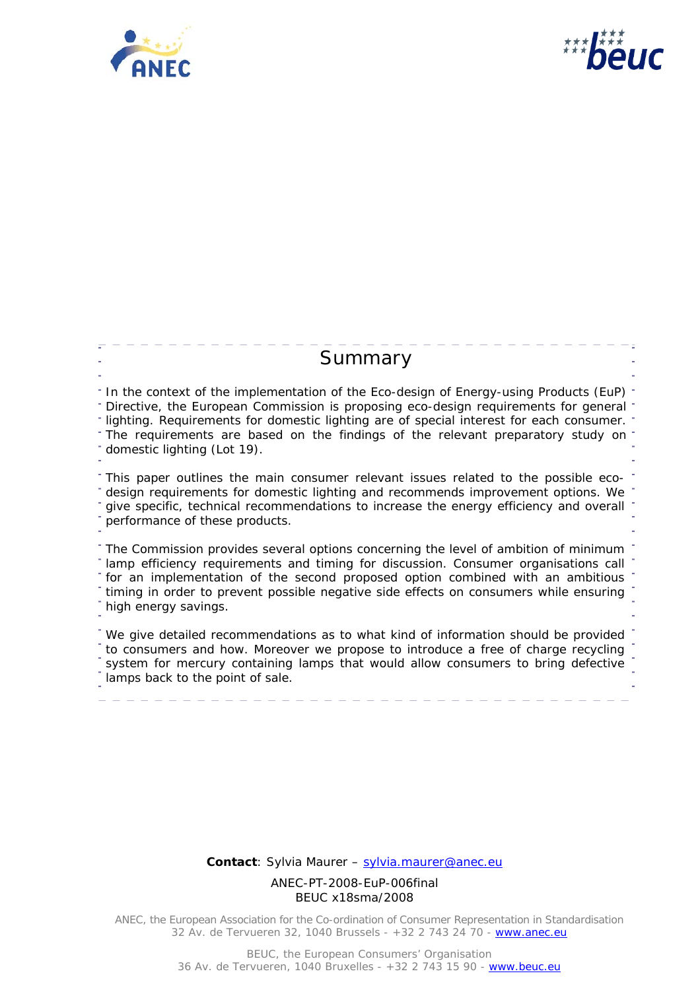



# **Summary**

In the context of the implementation of the Eco-design of Energy-using Products (EuP) Directive, the European Commission is proposing eco-design requirements for general lighting. Requirements for domestic lighting are of special interest for each consumer. The requirements are based on the findings of the relevant preparatory study on domestic lighting (Lot 19). This paper outlines the main consumer relevant issues related to the possible ecodesign requirements for domestic lighting and recommends improvement options. We give specific, technical recommendations to increase the energy efficiency and overall

performance of these products.

The Commission provides several options concerning the level of ambition of minimum lamp efficiency requirements and timing for discussion. Consumer organisations call for an implementation of the second proposed option combined with an ambitious timing in order to prevent possible negative side effects on consumers while ensuring high energy savings.

We give detailed recommendations as to what kind of information should be provided to consumers and how. Moreover we propose to introduce a free of charge recycling system for mercury containing lamps that would allow consumers to bring defective lamps back to the point of sale.

 **Contact**: Sylvia Maurer – sylvia.maurer@anec.eu

ANEC-PT-2008-EuP-006final BEUC x18sma/2008

ANEC, the European Association for the Co-ordination of Consumer Representation in Standardisation 32 Av. de Tervueren 32, 1040 Brussels - +32 2 743 24 70 - www.anec.eu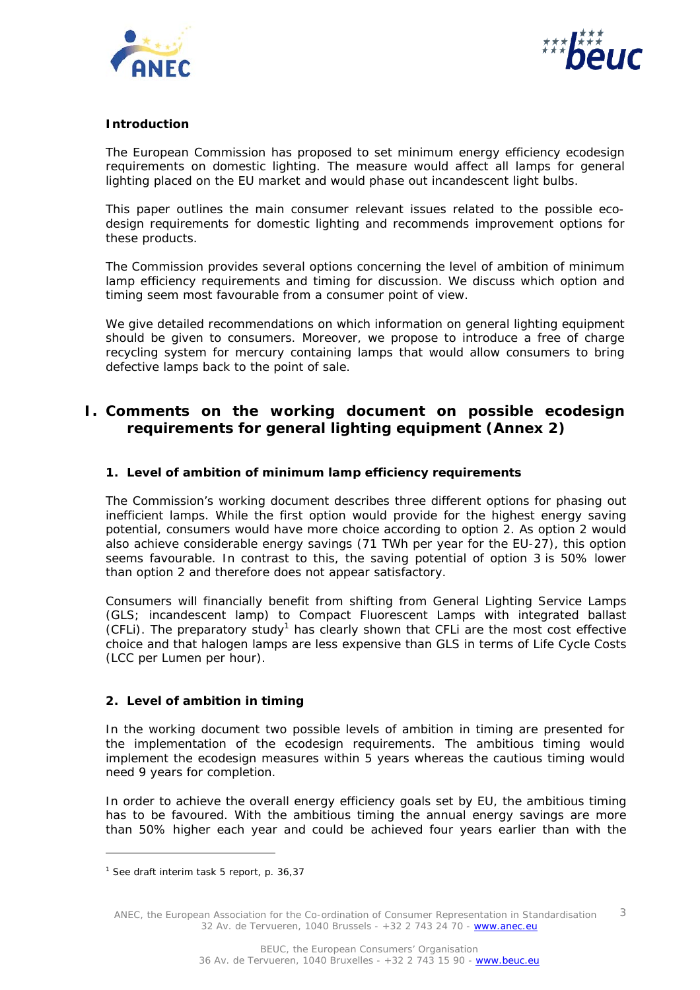



# **Introduction**

The European Commission has proposed to set minimum energy efficiency ecodesign requirements on domestic lighting. The measure would affect all lamps for general lighting placed on the EU market and would phase out incandescent light bulbs.

This paper outlines the main consumer relevant issues related to the possible ecodesign requirements for domestic lighting and recommends improvement options for these products.

The Commission provides several options concerning the level of ambition of minimum lamp efficiency requirements and timing for discussion. We discuss which option and timing seem most favourable from a consumer point of view.

We give detailed recommendations on which information on general lighting equipment should be given to consumers. Moreover, we propose to introduce a free of charge recycling system for mercury containing lamps that would allow consumers to bring defective lamps back to the point of sale.

# **I. Comments on the working document on possible ecodesign requirements for general lighting equipment (Annex 2)**

#### **1. Level of ambition of minimum lamp efficiency requirements**

The Commission's working document describes three different options for phasing out inefficient lamps. While the first option would provide for the highest energy saving potential, consumers would have more choice according to option 2. As option 2 would also achieve considerable energy savings (71 TWh per year for the EU-27), this option seems favourable. In contrast to this, the saving potential of option 3 is 50% lower than option 2 and therefore does not appear satisfactory.

Consumers will financially benefit from shifting from General Lighting Service Lamps (GLS; incandescent lamp) to Compact Fluorescent Lamps with integrated ballast (CFLI). The preparatory study<sup>1</sup> has clearly shown that CFLI are the most cost effective choice and that halogen lamps are less expensive than GLS in terms of Life Cycle Costs (LCC per Lumen per hour).

#### **2. Level of ambition in timing**

In the working document two possible levels of ambition in timing are presented for the implementation of the ecodesign requirements. The ambitious timing would implement the ecodesign measures within 5 years whereas the cautious timing would need 9 years for completion.

In order to achieve the overall energy efficiency goals set by EU, the ambitious timing has to be favoured. With the ambitious timing the annual energy savings are more than 50% higher each year and could be achieved four years earlier than with the

ł

<sup>&</sup>lt;sup>1</sup> See draft interim task 5 report, p. 36,37

ANEC, the European Association for the Co-ordination of Consumer Representation in Standardisation 32 Av. de Tervueren, 1040 Brussels - +32 2 743 24 70 - www.anec.eu 3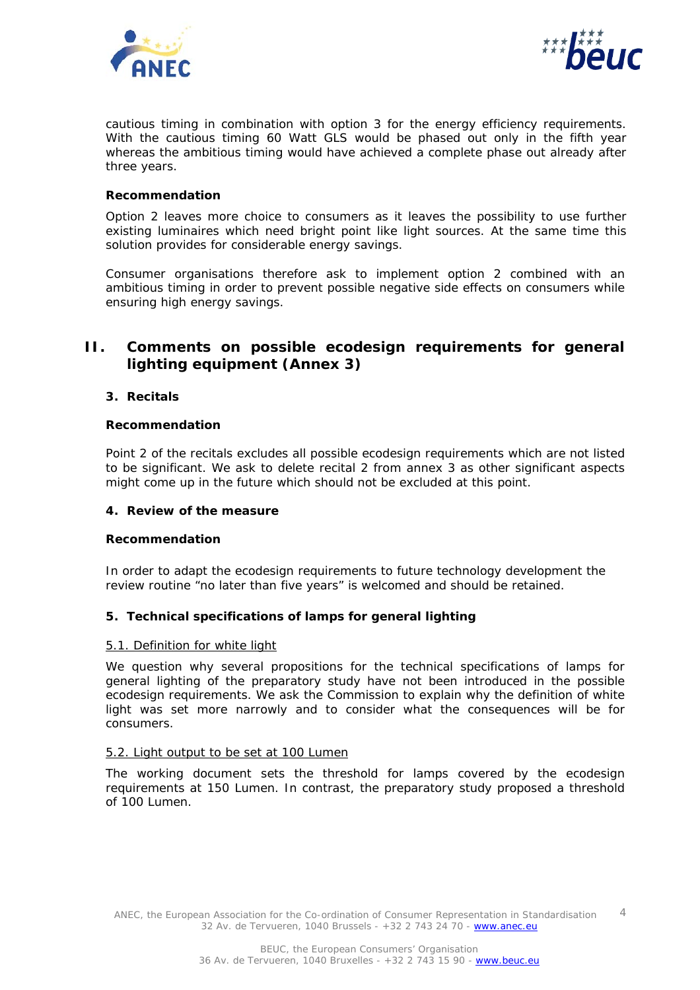



cautious timing in combination with option 3 for the energy efficiency requirements. With the cautious timing 60 Watt GLS would be phased out only in the fifth year whereas the ambitious timing would have achieved a complete phase out already after three years.

#### *Recommendation*

Option 2 leaves more choice to consumers as it leaves the possibility to use further existing luminaires which need bright point like light sources. At the same time this solution provides for considerable energy savings.

Consumer organisations therefore ask to implement option 2 combined with an ambitious timing in order to prevent possible negative side effects on consumers while ensuring high energy savings.

# **II. Comments on possible ecodesign requirements for general lighting equipment (Annex 3)**

#### **3. Recitals**

#### *Recommendation*

Point 2 of the recitals excludes all possible ecodesign requirements which are not listed to be significant. We ask to delete recital 2 from annex 3 as other significant aspects might come up in the future which should not be excluded at this point.

#### **4. Review of the measure**

#### *Recommendation*

In order to adapt the ecodesign requirements to future technology development the review routine "no later than five years" is welcomed and should be retained.

# **5. Technical specifications of lamps for general lighting**

#### 5.1. Definition for white light

We question why several propositions for the technical specifications of lamps for general lighting of the preparatory study have not been introduced in the possible ecodesign requirements. We ask the Commission to explain why the definition of white light was set more narrowly and to consider what the consequences will be for consumers.

#### 5.2. Light output to be set at 100 Lumen

The working document sets the threshold for lamps covered by the ecodesign requirements at 150 Lumen. In contrast, the preparatory study proposed a threshold of 100 Lumen.

ANEC, the European Association for the Co-ordination of Consumer Representation in Standardisation 32 Av. de Tervueren, 1040 Brussels - +32 2 743 24 70 - www.anec.eu 4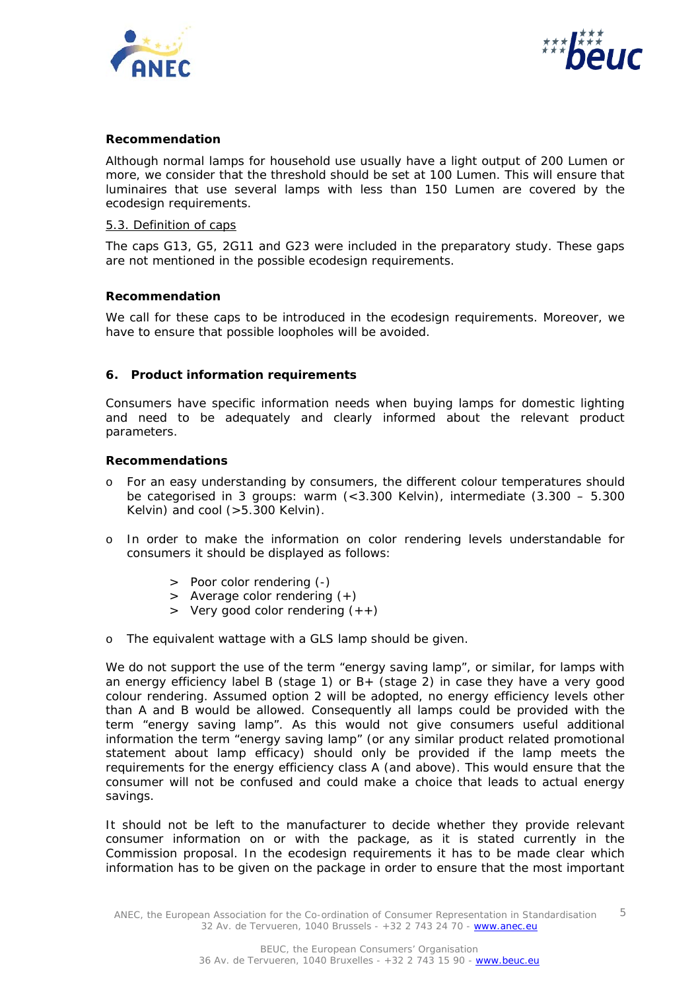



#### *Recommendation*

Although normal lamps for household use usually have a light output of 200 Lumen or more, we consider that the threshold should be set at 100 Lumen. This will ensure that luminaires that use several lamps with less than 150 Lumen are covered by the ecodesign requirements.

# 5.3. Definition of caps

The caps G13, G5, 2G11 and G23 were included in the preparatory study. These gaps are not mentioned in the possible ecodesign requirements.

#### *Recommendation*

We call for these caps to be introduced in the ecodesign requirements. Moreover, we have to ensure that possible loopholes will be avoided.

#### **6. Product information requirements**

Consumers have specific information needs when buying lamps for domestic lighting and need to be adequately and clearly informed about the relevant product parameters.

#### *Recommendations*

- o For an easy understanding by consumers, the different colour temperatures should be categorised in 3 groups: warm  $\left($  < 3.300 Kelvin), intermediate  $\left($ 3.300 – 5.300 Kelvin) and cool (>5.300 Kelvin).
- o In order to make the information on color rendering levels understandable for consumers it should be displayed as follows:
	- > Poor color rendering (-)
	- > Average color rendering (+)
	- $>$  Very good color rendering  $(++)$
- o The equivalent wattage with a GLS lamp should be given.

We do not support the use of the term "energy saving lamp", or similar, for lamps with an energy efficiency label B (stage 1) or B+ (stage 2) in case they have a very good colour rendering. Assumed option 2 will be adopted, no energy efficiency levels other than A and B would be allowed. Consequently all lamps could be provided with the term "energy saving lamp". As this would not give consumers useful additional information the term "energy saving lamp" (or any similar product related promotional statement about lamp efficacy) should only be provided if the lamp meets the requirements for the energy efficiency class A (and above). This would ensure that the consumer will not be confused and could make a choice that leads to actual energy savings.

It should not be left to the manufacturer to decide whether they provide relevant consumer information *on* or *with* the package, as it is stated currently in the Commission proposal. In the ecodesign requirements it has to be made clear which information has to be given on the package in order to ensure that the most important

ANEC, the European Association for the Co-ordination of Consumer Representation in Standardisation 32 Av. de Tervueren, 1040 Brussels - +32 2 743 24 70 - www.anec.eu 5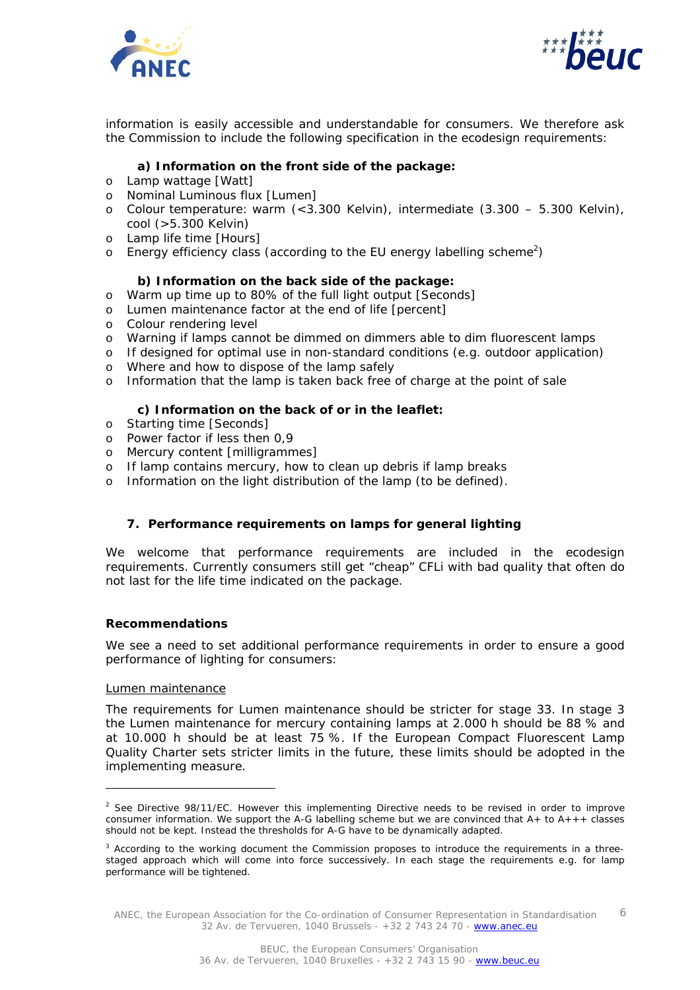



information is easily accessible and understandable for consumers. We therefore ask the Commission to include the following specification in the ecodesign requirements:

# **a) Information on the front side of the package:**

- o Lamp wattage [Watt]
- o Nominal Luminous flux [Lumen]
- o Colour temperature: warm (<3.300 Kelvin), intermediate (3.300 5.300 Kelvin), cool (>5.300 Kelvin)
- o Lamp life time [Hours]
- $\circ$  Energy efficiency class (according to the EU energy labelling scheme<sup>2</sup>)

#### **b) Information on the back side of the package:**

- o Warm up time up to 80% of the full light output [Seconds]
- o Lumen maintenance factor at the end of life [percent]
- o Colour rendering level
- o Warning if lamps cannot be dimmed on dimmers able to dim fluorescent lamps
- o If designed for optimal use in non-standard conditions (e.g. outdoor application)
- o Where and how to dispose of the lamp safely
- o Information that the lamp is taken back free of charge at the point of sale

# **c) Information on the back of or in the leaflet:**

- o Starting time [Seconds]
- o Power factor if less then 0,9
- o Mercury content [milligrammes]
- o If lamp contains mercury, how to clean up debris if lamp breaks
- o Information on the light distribution of the lamp (to be defined).

# **7. Performance requirements on lamps for general lighting**

We welcome that performance requirements are included in the ecodesign requirements. Currently consumers still get "cheap" CFLi with bad quality that often do not last for the life time indicated on the package.

#### *Recommendations*

We see a need to set additional performance requirements in order to ensure a good performance of lighting for consumers:

#### Lumen maintenance

ł

The requirements for Lumen maintenance should be stricter for stage 33. In stage 3 the Lumen maintenance for mercury containing lamps at 2.000 h should be 88 % and at 10.000 h should be at least 75 %. If the European Compact Fluorescent Lamp Quality Charter sets stricter limits in the future, these limits should be adopted in the implementing measure.

<sup>&</sup>lt;sup>2</sup> See Directive 98/11/EC. However this implementing Directive needs to be revised in order to improve consumer information. We support the A-G labelling scheme but we are convinced that  $A_{+}$  to  $A_{++}$  classes should not be kept. Instead the thresholds for A-G have to be dynamically adapted.

<sup>&</sup>lt;sup>3</sup> According to the working document the Commission proposes to introduce the requirements in a threestaged approach which will come into force successively. In each stage the requirements e.g. for lamp performance will be tightened.

ANEC, the European Association for the Co-ordination of Consumer Representation in Standardisation 32 Av. de Tervueren, 1040 Brussels - +32 2 743 24 70 - www.anec.eu 6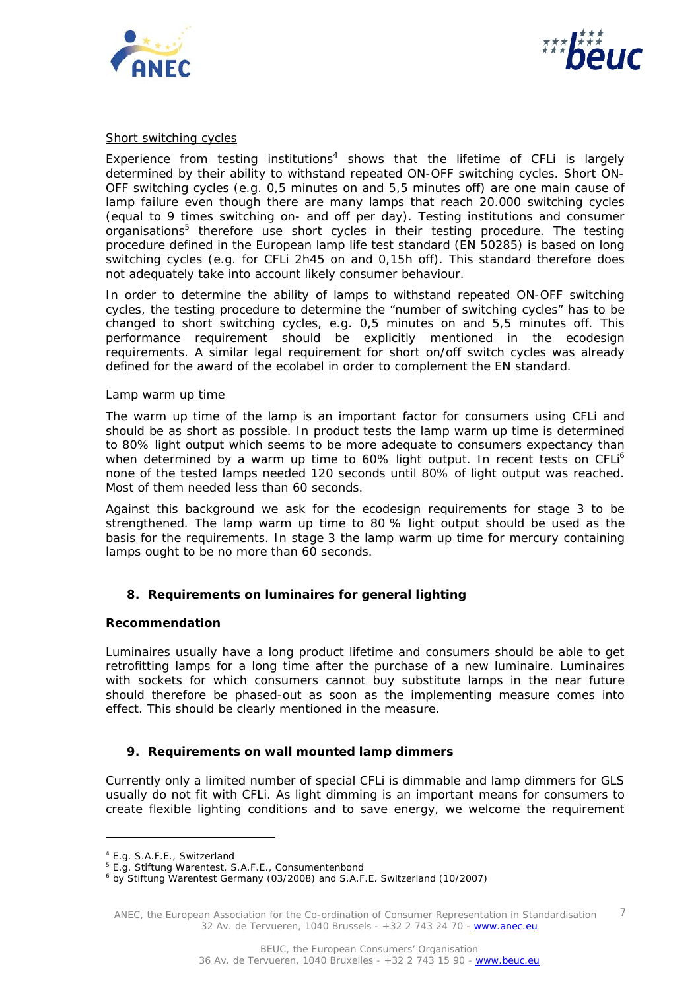



#### Short switching cycles

Experience from testing institutions<sup>4</sup> shows that the lifetime of CFLi is largely determined by their ability to withstand repeated ON-OFF switching cycles. Short ON-OFF switching cycles (e.g. 0,5 minutes on and 5,5 minutes off) are one main cause of lamp failure even though there are many lamps that reach 20.000 switching cycles (equal to 9 times switching on- and off per day). Testing institutions and consumer organisations<sup>5</sup> therefore use short cycles in their testing procedure. The testing procedure defined in the European lamp life test standard (EN 50285) is based on long switching cycles (e.g. for CFLi 2h45 on and 0,15h off). This standard therefore does not adequately take into account likely consumer behaviour.

In order to determine the ability of lamps to withstand repeated ON-OFF switching cycles, the testing procedure to determine the "number of switching cycles" has to be changed to short switching cycles, e.g. 0,5 minutes on and 5,5 minutes off. This performance requirement should be explicitly mentioned in the ecodesign requirements. A similar legal requirement for short on/off switch cycles was already defined for the award of the ecolabel in order to complement the EN standard.

#### Lamp warm up time

The warm up time of the lamp is an important factor for consumers using CFLi and should be as short as possible. In product tests the lamp warm up time is determined to 80% light output which seems to be more adequate to consumers expectancy than when determined by a warm up time to 60% light output. In recent tests on CFLi<sup>6</sup> none of the tested lamps needed 120 seconds until 80% of light output was reached. Most of them needed less than 60 seconds.

Against this background we ask for the ecodesign requirements for stage 3 to be strengthened. The lamp warm up time to 80 % light output should be used as the basis for the requirements. In stage 3 the lamp warm up time for mercury containing lamps ought to be no more than 60 seconds.

# **8. Requirements on luminaires for general lighting**

#### *Recommendation*

Luminaires usually have a long product lifetime and consumers should be able to get retrofitting lamps for a long time after the purchase of a new luminaire. Luminaires with sockets for which consumers cannot buy substitute lamps in the near future should therefore be phased-out as soon as the implementing measure comes into effect. This should be clearly mentioned in the measure.

# **9. Requirements on wall mounted lamp dimmers**

Currently only a limited number of special CFLi is dimmable and lamp dimmers for GLS usually do not fit with CFLi. As light dimming is an important means for consumers to create flexible lighting conditions and to save energy, we welcome the requirement

ł

ANEC, the European Association for the Co-ordination of Consumer Representation in Standardisation 32 Av. de Tervueren, 1040 Brussels - +32 2 743 24 70 - www.anec.eu 7

<sup>4</sup> E.g. S.A.F.E., Switzerland

<sup>&</sup>lt;sup>5</sup> E.g. Stiftung Warentest, S.A.F.E., Consumentenbond<br>6 by Stiftung Warentest Cermany (03/3008) and S.A.E.

by Stiftung Warentest Germany (03/2008) and S.A.F.E. Switzerland (10/2007)